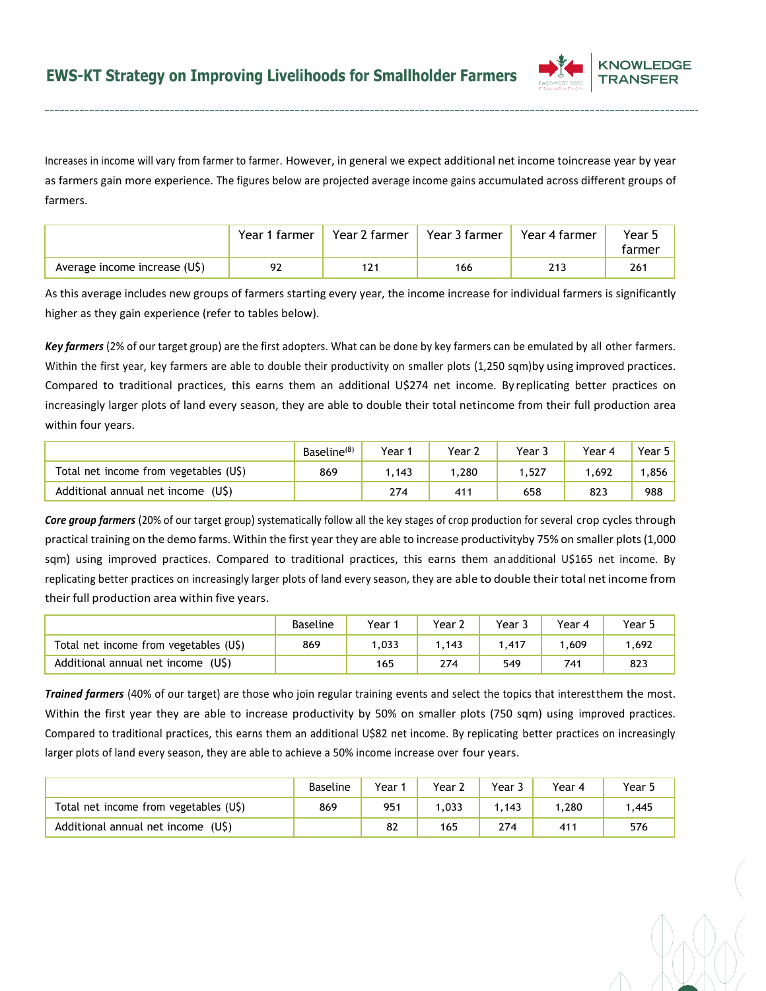

Increases in income will vary from farmer to farmer. However, in general we expect additional net income toincrease year by year as farmers gain more experience. The figures below are projected average income gains accumulated across different groups of farmers.

|                               | Year 1 farmer | Year 2 farmer | Year 3 farmer | Year 4 farmer | Year 5<br>tarmer |
|-------------------------------|---------------|---------------|---------------|---------------|------------------|
| Average income increase (U\$) | 92            | 121           | 166           | 213           | 261              |

As this average includes new groups of farmers starting every year, the income increase for individual farmers is significantly higher as they gain experience (refer to tables below).

*Key farmers* (2% of our target group) are the first adopters. What can be done by key farmers can be emulated by all other farmers. Within the first year, key farmers are able to double their productivity on smaller plots (1,250 sqm)by using improved practices. Compared to traditional practices, this earns them an additional U\$274 net income. By replicating better practices on increasingly larger plots of land every season, they are able to double their total netincome from their full production area within four years.

|                                        | Baseline <sup>(8)</sup> | $Year_1$ | Year 2          | Year. | Year 4 | Year 5 |
|----------------------------------------|-------------------------|----------|-----------------|-------|--------|--------|
| Total net income from vegetables (U\$) | 869                     | .143     | .280            | ,527  | .692   | ,856   |
| Additional annual net income<br>(US)   |                         | 274      | 41 <sup>1</sup> | 658   | 823    | 988    |

*Core group farmers* (20% of our target group) systematically follow all the key stages of crop production for several crop cycles through practical training on the demo farms. Within the first year they are able to increase productivityby 75% on smaller plots (1,000 sqm) using improved practices. Compared to traditional practices, this earns them anadditional U\$165 net income. By replicating better practices on increasingly larger plots of land every season, they are able to double their total net income from their full production area within five years.

|                                        | <b>Baseline</b> | Year  | Year $\lambda$ | Year . | Year 4 | Year ! |
|----------------------------------------|-----------------|-------|----------------|--------|--------|--------|
| Total net income from vegetables (U\$) | 869             | 1.033 | .143           | .417   | .609   | 1,692  |
| Additional annual net income<br>(US)   |                 | 165   | 274            | 549    | 741    | 823    |

*Trained farmers* (40% of our target) are those who join regular training events and select the topics that interestthem the most. Within the first year they are able to increase productivity by 50% on smaller plots (750 sqm) using improved practices. Compared to traditional practices, this earns them an additional U\$82 net income. By replicating better practices on increasingly larger plots of land every season, they are able to achieve a 50% income increase over four years.

|                                        | <b>Baseline</b> | Year | Year $\sim$ | Year $\overline{\phantom{a}}$ | Year 4     | Year 5 |
|----------------------------------------|-----------------|------|-------------|-------------------------------|------------|--------|
| Total net income from vegetables (U\$) | 869             | 951  | 1.033       | .143                          | .280       | .445   |
| (US)<br>Additional annual net income   |                 | 82   | 165         | 274                           | $41^\circ$ | 576    |